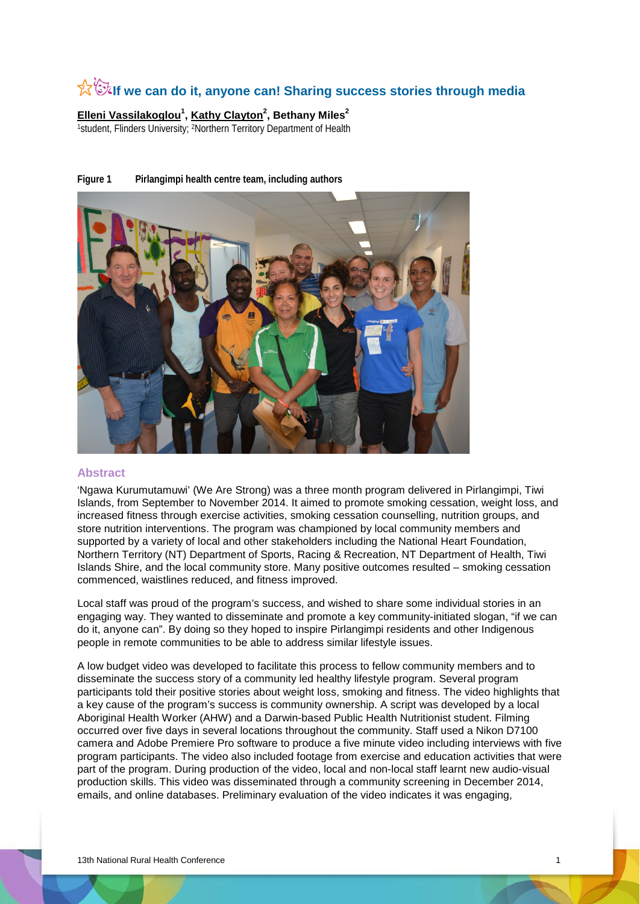# **☆©tif we can do it, anyone can! Sharing success stories through media**

**Elleni Vassilakoglou<sup>1</sup> , Kathy Clayton<sup>2</sup> , Bethany Miles2** 1student, Flinders University; <sup>2</sup>Northern Territory Department of Health

# **Figure 1 Pirlangimpi health centre team, including authors**



#### **Abstract**

'Ngawa Kurumutamuwi' (We Are Strong) was a three month program delivered in Pirlangimpi, Tiwi Islands, from September to November 2014. It aimed to promote smoking cessation, weight loss, and increased fitness through exercise activities, smoking cessation counselling, nutrition groups, and store nutrition interventions. The program was championed by local community members and supported by a variety of local and other stakeholders including the National Heart Foundation, Northern Territory (NT) Department of Sports, Racing & Recreation, NT Department of Health, Tiwi Islands Shire, and the local community store. Many positive outcomes resulted – smoking cessation commenced, waistlines reduced, and fitness improved.

Local staff was proud of the program's success, and wished to share some individual stories in an engaging way. They wanted to disseminate and promote a key community-initiated slogan, "if we can do it, anyone can". By doing so they hoped to inspire Pirlangimpi residents and other Indigenous people in remote communities to be able to address similar lifestyle issues.

A low budget video was developed to facilitate this process to fellow community members and to disseminate the success story of a community led healthy lifestyle program. Several program participants told their positive stories about weight loss, smoking and fitness. The video highlights that a key cause of the program's success is community ownership. A script was developed by a local Aboriginal Health Worker (AHW) and a Darwin-based Public Health Nutritionist student. Filming occurred over five days in several locations throughout the community. Staff used a Nikon D7100 camera and Adobe Premiere Pro software to produce a five minute video including interviews with five program participants. The video also included footage from exercise and education activities that were part of the program. During production of the video, local and non-local staff learnt new audio-visual production skills. This video was disseminated through a community screening in December 2014, emails, and online databases. Preliminary evaluation of the video indicates it was engaging,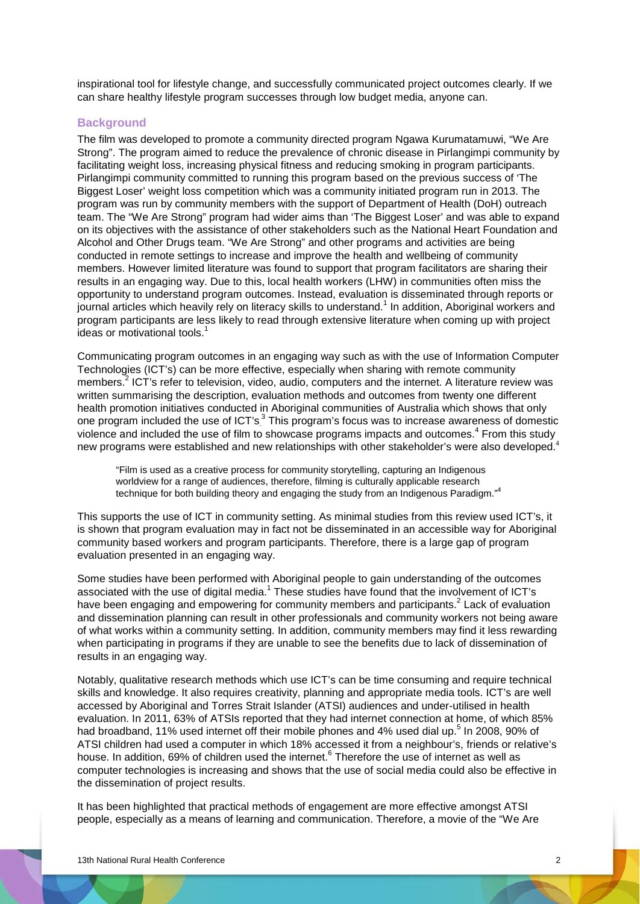inspirational tool for lifestyle change, and successfully communicated project outcomes clearly. If we can share healthy lifestyle program successes through low budget media, anyone can.

#### **Background**

The film was developed to promote a community directed program Ngawa Kurumatamuwi, "We Are Strong". The program aimed to reduce the prevalence of chronic disease in Pirlangimpi community by facilitating weight loss, increasing physical fitness and reducing smoking in program participants. Pirlangimpi community committed to running this program based on the previous success of 'The Biggest Loser' weight loss competition which was a community initiated program run in 2013. The program was run by community members with the support of Department of Health (DoH) outreach team. The "We Are Strong" program had wider aims than 'The Biggest Loser' and was able to expand on its objectives with the assistance of other stakeholders such as the National Heart Foundation and Alcohol and Other Drugs team. "We Are Strong" and other programs and activities are being conducted in remote settings to increase and improve the health and wellbeing of community members. However limited literature was found to support that program facilitators are sharing their results in an engaging way. Due to this, local health workers (LHW) in communities often miss the opportunity to understand program outcomes. Instead, evaluation is disseminated through reports or journal articles which heavily rely on literacy skills to understand.<sup>1</sup> In addition, Aboriginal workers and program participants are less likely to read through extensive literature when coming up with project ideas or motivational tools.<sup>1</sup>

Communicating program outcomes in an engaging way such as with the use of Information Computer Technologies (ICT's) can be more effective, especially when sharing with remote community members.<sup>2</sup> ICT's refer to television, video, audio, computers and the internet. A literature review was written summarising the description, evaluation methods and outcomes from twenty one different health promotion initiatives conducted in Aboriginal communities of Australia which shows that only one program included the use of ICT's.<sup>3</sup> This program's focus was to increase awareness of domestic violence and included the use of film to showcase programs impacts and outcomes.<sup>4</sup> From this study new programs were established and new relationships with other stakeholder's were also developed.<sup>4</sup>

"Film is used as a creative process for community storytelling, capturing an Indigenous worldview for a range of audiences, therefore, filming is culturally applicable research technique for both building theory and engaging the study from an Indigenous Paradigm."4

This supports the use of ICT in community setting. As minimal studies from this review used ICT's, it is shown that program evaluation may in fact not be disseminated in an accessible way for Aboriginal community based workers and program participants. Therefore, there is a large gap of program evaluation presented in an engaging way.

Some studies have been performed with Aboriginal people to gain understanding of the outcomes associated with the use of digital media.<sup>1</sup> These studies have found that the involvement of ICT's have been engaging and empowering for community members and participants.<sup>2</sup> Lack of evaluation and dissemination planning can result in other professionals and community workers not being aware of what works within a community setting. In addition, community members may find it less rewarding when participating in programs if they are unable to see the benefits due to lack of dissemination of results in an engaging way.

Notably, qualitative research methods which use ICT's can be time consuming and require technical skills and knowledge. It also requires creativity, planning and appropriate media tools. ICT's are well accessed by Aboriginal and Torres Strait Islander (ATSI) audiences and under-utilised in health evaluation. In 2011, 63% of ATSIs reported that they had internet connection at home, of which 85% had broadband, 11% used internet off their mobile phones and 4% used dial up.<sup>5</sup> In 2008, 90% of ATSI children had used a computer in which 18% accessed it from a neighbour's, friends or relative's house. In addition, 69% of children used the internet.<sup>6</sup> Therefore the use of internet as well as computer technologies is increasing and shows that the use of social media could also be effective in the dissemination of project results.

It has been highlighted that practical methods of engagement are more effective amongst ATSI people, especially as a means of learning and communication. Therefore, a movie of the "We Are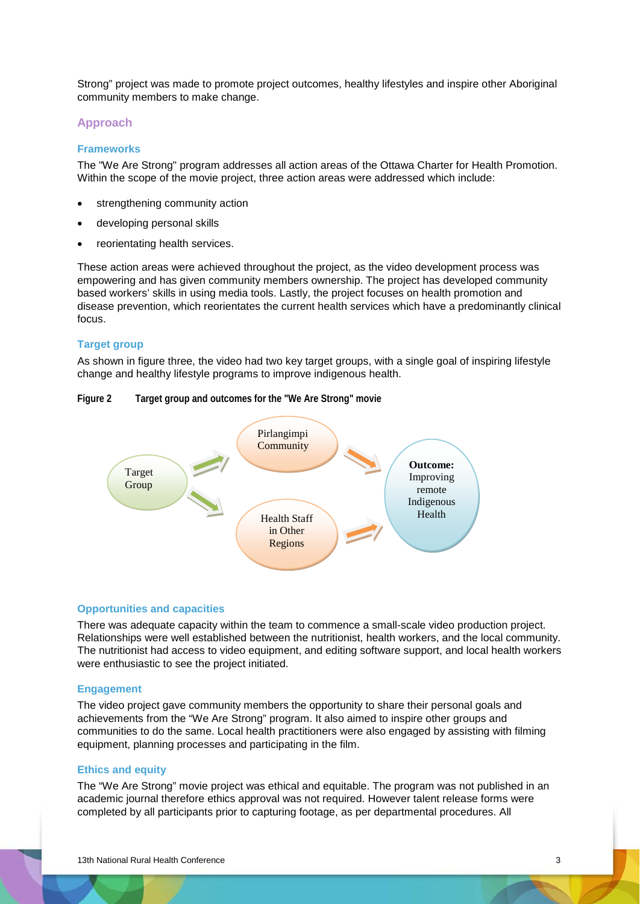Strong" project was made to promote project outcomes, healthy lifestyles and inspire other Aboriginal community members to make change.

# **Approach**

#### **Frameworks**

The "We Are Strong" program addresses all action areas of the Ottawa Charter for Health Promotion. Within the scope of the movie project, three action areas were addressed which include:

- strengthening community action
- developing personal skills
- reorientating health services.

These action areas were achieved throughout the project, as the video development process was empowering and has given community members ownership. The project has developed community based workers' skills in using media tools. Lastly, the project focuses on health promotion and disease prevention, which reorientates the current health services which have a predominantly clinical focus.

# **Target group**

As shown in figure three, the video had two key target groups, with a single goal of inspiring lifestyle change and healthy lifestyle programs to improve indigenous health.

### **Figure 2 Target group and outcomes for the "We Are Strong" movie**



#### **Opportunities and capacities**

There was adequate capacity within the team to commence a small-scale video production project. Relationships were well established between the nutritionist, health workers, and the local community. The nutritionist had access to video equipment, and editing software support, and local health workers were enthusiastic to see the project initiated.

#### **Engagement**

The video project gave community members the opportunity to share their personal goals and achievements from the "We Are Strong" program. It also aimed to inspire other groups and communities to do the same. Local health practitioners were also engaged by assisting with filming equipment, planning processes and participating in the film.

# **Ethics and equity**

The "We Are Strong" movie project was ethical and equitable. The program was not published in an academic journal therefore ethics approval was not required. However talent release forms were completed by all participants prior to capturing footage, as per departmental procedures. All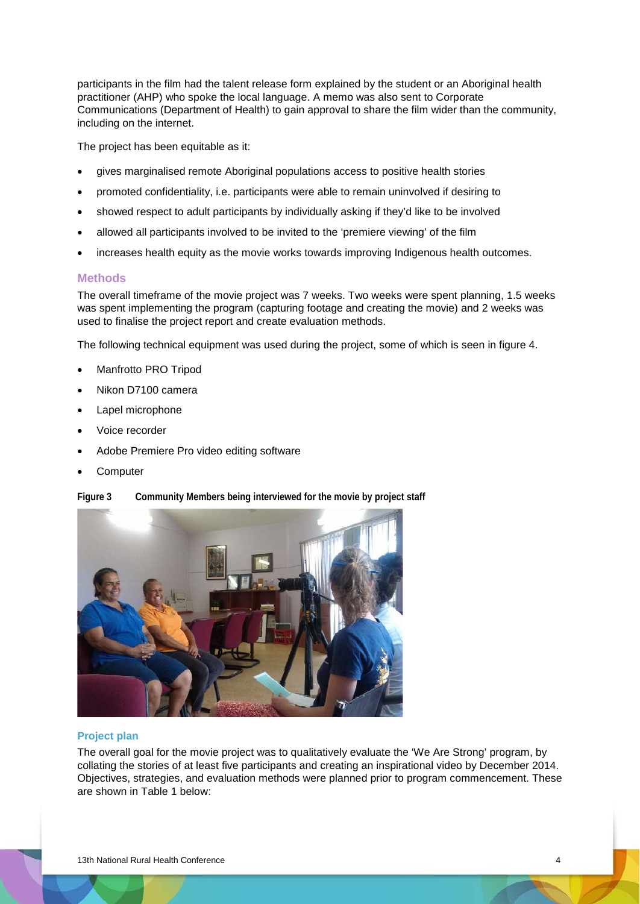participants in the film had the talent release form explained by the student or an Aboriginal health practitioner (AHP) who spoke the local language. A memo was also sent to Corporate Communications (Department of Health) to gain approval to share the film wider than the community, including on the internet.

The project has been equitable as it:

- gives marginalised remote Aboriginal populations access to positive health stories
- promoted confidentiality, i.e. participants were able to remain uninvolved if desiring to
- showed respect to adult participants by individually asking if they'd like to be involved
- allowed all participants involved to be invited to the 'premiere viewing' of the film
- increases health equity as the movie works towards improving Indigenous health outcomes.

# **Methods**

The overall timeframe of the movie project was 7 weeks. Two weeks were spent planning, 1.5 weeks was spent implementing the program (capturing footage and creating the movie) and 2 weeks was used to finalise the project report and create evaluation methods.

The following technical equipment was used during the project, some of which is seen in figure 4.

- Manfrotto PRO Tripod
- Nikon D7100 camera
- Lapel microphone
- Voice recorder
- Adobe Premiere Pro video editing software
- **Computer**

#### **Figure 3 Community Members being interviewed for the movie by project staff**



# **Project plan**

The overall goal for the movie project was to qualitatively evaluate the 'We Are Strong' program, by collating the stories of at least five participants and creating an inspirational video by December 2014. Objectives, strategies, and evaluation methods were planned prior to program commencement. These are shown in Table 1 below: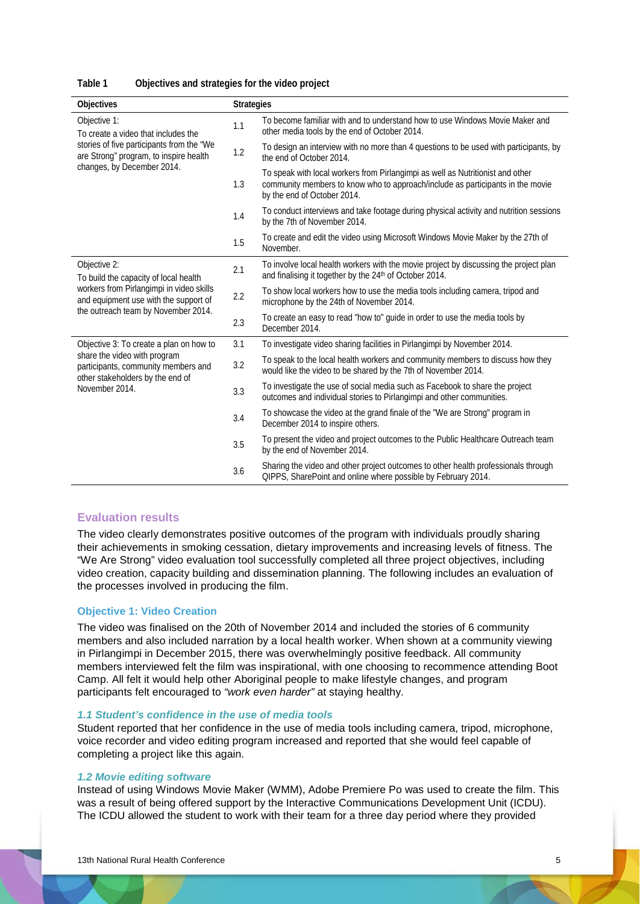| Objectives                                                                                                                                                                        | <b>Strategies</b> |                                                                                                                                                                                                 |  |
|-----------------------------------------------------------------------------------------------------------------------------------------------------------------------------------|-------------------|-------------------------------------------------------------------------------------------------------------------------------------------------------------------------------------------------|--|
| Objective 1:<br>To create a video that includes the<br>stories of five participants from the "We<br>are Strong" program, to inspire health<br>changes, by December 2014.          | 1.1               | To become familiar with and to understand how to use Windows Movie Maker and<br>other media tools by the end of October 2014.                                                                   |  |
|                                                                                                                                                                                   | 1.2               | To design an interview with no more than 4 questions to be used with participants, by<br>the end of October 2014.                                                                               |  |
|                                                                                                                                                                                   | 1.3               | To speak with local workers from Pirlangimpi as well as Nutritionist and other<br>community members to know who to approach/include as participants in the movie<br>by the end of October 2014. |  |
|                                                                                                                                                                                   | 1.4               | To conduct interviews and take footage during physical activity and nutrition sessions<br>by the 7th of November 2014.                                                                          |  |
|                                                                                                                                                                                   | 1.5               | To create and edit the video using Microsoft Windows Movie Maker by the 27th of<br>November.                                                                                                    |  |
| Objective 2:<br>To build the capacity of local health<br>workers from Pirlangimpi in video skills<br>and equipment use with the support of<br>the outreach team by November 2014. | 2.1               | To involve local health workers with the movie project by discussing the project plan<br>and finalising it together by the 24 <sup>th</sup> of October 2014.                                    |  |
|                                                                                                                                                                                   | 2.2               | To show local workers how to use the media tools including camera, tripod and<br>microphone by the 24th of November 2014.                                                                       |  |
|                                                                                                                                                                                   | 2.3               | To create an easy to read "how to" guide in order to use the media tools by<br>December 2014.                                                                                                   |  |
| Objective 3: To create a plan on how to<br>share the video with program<br>participants, community members and<br>other stakeholders by the end of<br>November 2014.              | 3.1               | To investigate video sharing facilities in Pirlangimpi by November 2014.                                                                                                                        |  |
|                                                                                                                                                                                   | 3.2               | To speak to the local health workers and community members to discuss how they<br>would like the video to be shared by the 7th of November 2014.                                                |  |
|                                                                                                                                                                                   | 3.3               | To investigate the use of social media such as Facebook to share the project<br>outcomes and individual stories to Pirlangimpi and other communities.                                           |  |
|                                                                                                                                                                                   | 3.4               | To showcase the video at the grand finale of the "We are Strong" program in<br>December 2014 to inspire others.                                                                                 |  |
|                                                                                                                                                                                   | 3.5               | To present the video and project outcomes to the Public Healthcare Outreach team<br>by the end of November 2014.                                                                                |  |
|                                                                                                                                                                                   |                   | Sharing the video and other project outcomes to other health professionals through<br>QIPPS, SharePoint and online where possible by February 2014.                                             |  |

**Table 1 Objectives and strategies for the video project**

# **Evaluation results**

The video clearly demonstrates positive outcomes of the program with individuals proudly sharing their achievements in smoking cessation, dietary improvements and increasing levels of fitness. The "We Are Strong" video evaluation tool successfully completed all three project objectives, including video creation, capacity building and dissemination planning. The following includes an evaluation of the processes involved in producing the film.

# **Objective 1: Video Creation**

The video was finalised on the 20th of November 2014 and included the stories of 6 community members and also included narration by a local health worker. When shown at a community viewing in Pirlangimpi in December 2015, there was overwhelmingly positive feedback. All community members interviewed felt the film was inspirational, with one choosing to recommence attending Boot Camp. All felt it would help other Aboriginal people to make lifestyle changes, and program participants felt encouraged to *"work even harder"* at staying healthy.

# *1.1 Student's confidence in the use of media tools*

Student reported that her confidence in the use of media tools including camera, tripod, microphone, voice recorder and video editing program increased and reported that she would feel capable of completing a project like this again.

#### *1.2 Movie editing software*

Instead of using Windows Movie Maker (WMM), Adobe Premiere Po was used to create the film. This was a result of being offered support by the Interactive Communications Development Unit (ICDU). The ICDU allowed the student to work with their team for a three day period where they provided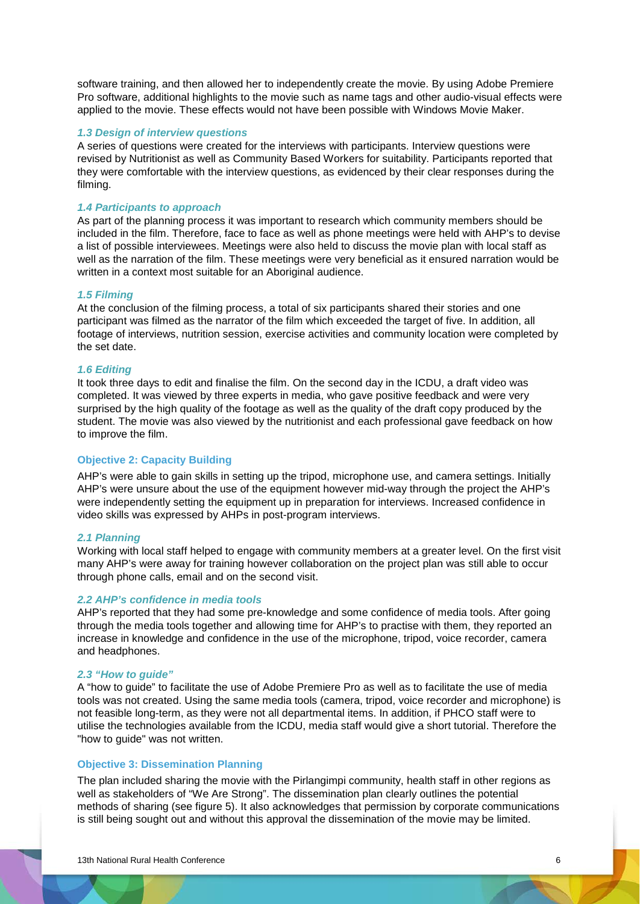software training, and then allowed her to independently create the movie. By using Adobe Premiere Pro software, additional highlights to the movie such as name tags and other audio-visual effects were applied to the movie. These effects would not have been possible with Windows Movie Maker.

#### *1.3 Design of interview questions*

A series of questions were created for the interviews with participants. Interview questions were revised by Nutritionist as well as Community Based Workers for suitability. Participants reported that they were comfortable with the interview questions, as evidenced by their clear responses during the filming.

# *1.4 Participants to approach*

As part of the planning process it was important to research which community members should be included in the film. Therefore, face to face as well as phone meetings were held with AHP's to devise a list of possible interviewees. Meetings were also held to discuss the movie plan with local staff as well as the narration of the film. These meetings were very beneficial as it ensured narration would be written in a context most suitable for an Aboriginal audience.

#### *1.5 Filming*

At the conclusion of the filming process, a total of six participants shared their stories and one participant was filmed as the narrator of the film which exceeded the target of five. In addition, all footage of interviews, nutrition session, exercise activities and community location were completed by the set date.

#### *1.6 Editing*

It took three days to edit and finalise the film. On the second day in the ICDU, a draft video was completed. It was viewed by three experts in media, who gave positive feedback and were very surprised by the high quality of the footage as well as the quality of the draft copy produced by the student. The movie was also viewed by the nutritionist and each professional gave feedback on how to improve the film.

# **Objective 2: Capacity Building**

AHP's were able to gain skills in setting up the tripod, microphone use, and camera settings. Initially AHP's were unsure about the use of the equipment however mid-way through the project the AHP's were independently setting the equipment up in preparation for interviews. Increased confidence in video skills was expressed by AHPs in post-program interviews.

# *2.1 Planning*

Working with local staff helped to engage with community members at a greater level. On the first visit many AHP's were away for training however collaboration on the project plan was still able to occur through phone calls, email and on the second visit.

# *2.2 AHP's confidence in media tools*

AHP's reported that they had some pre-knowledge and some confidence of media tools. After going through the media tools together and allowing time for AHP's to practise with them, they reported an increase in knowledge and confidence in the use of the microphone, tripod, voice recorder, camera and headphones.

# *2.3 "How to guide"*

A "how to guide" to facilitate the use of Adobe Premiere Pro as well as to facilitate the use of media tools was not created. Using the same media tools (camera, tripod, voice recorder and microphone) is not feasible long-term, as they were not all departmental items. In addition, if PHCO staff were to utilise the technologies available from the ICDU, media staff would give a short tutorial. Therefore the "how to guide" was not written.

## **Objective 3: Dissemination Planning**

The plan included sharing the movie with the Pirlangimpi community, health staff in other regions as well as stakeholders of "We Are Strong". The dissemination plan clearly outlines the potential methods of sharing (see figure 5). It also acknowledges that permission by corporate communications is still being sought out and without this approval the dissemination of the movie may be limited.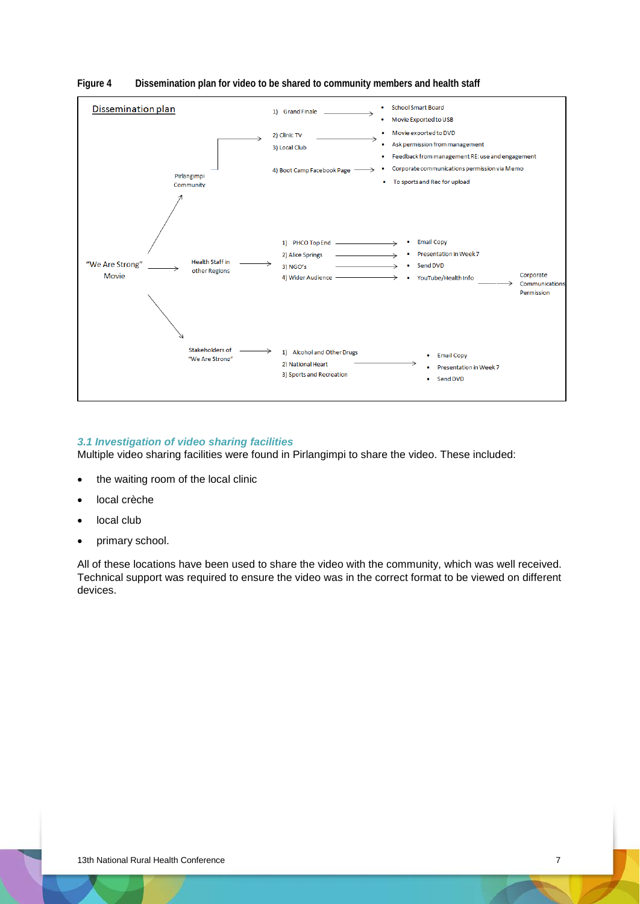

# **Figure 4 Dissemination plan for video to be shared to community members and health staff**

# *3.1 Investigation of video sharing facilities*

Multiple video sharing facilities were found in Pirlangimpi to share the video. These included:

- the waiting room of the local clinic
- local crèche
- local club
- primary school.

All of these locations have been used to share the video with the community, which was well received. Technical support was required to ensure the video was in the correct format to be viewed on different devices.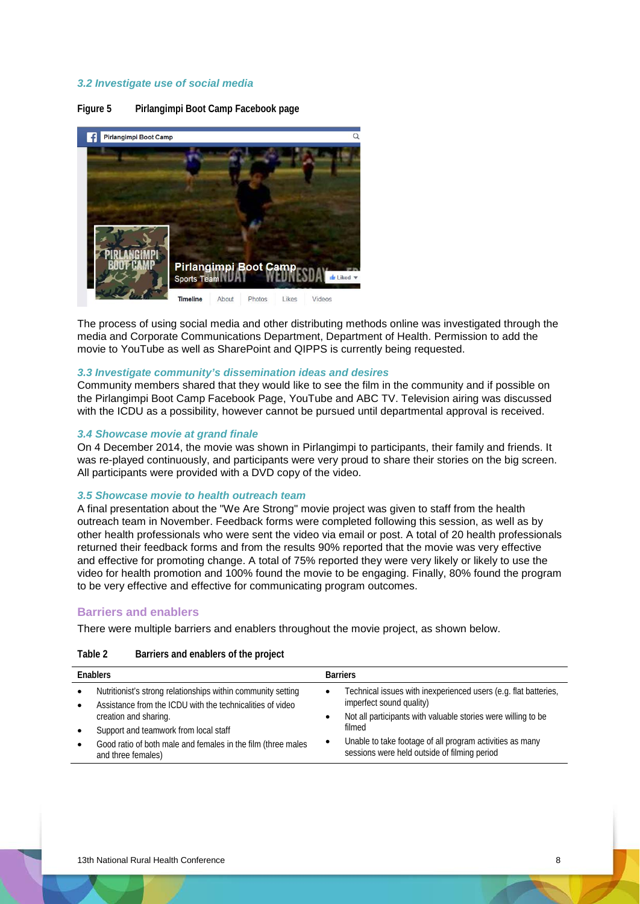# *3.2 Investigate use of social media*

**Figure 5 Pirlangimpi Boot Camp Facebook page**



The process of using social media and other distributing methods online was investigated through the media and Corporate Communications Department, Department of Health. Permission to add the movie to YouTube as well as SharePoint and QIPPS is currently being requested.

#### *3.3 Investigate community's dissemination ideas and desires*

Community members shared that they would like to see the film in the community and if possible on the Pirlangimpi Boot Camp Facebook Page, YouTube and ABC TV. Television airing was discussed with the ICDU as a possibility, however cannot be pursued until departmental approval is received.

# *3.4 Showcase movie at grand finale*

On 4 December 2014, the movie was shown in Pirlangimpi to participants, their family and friends. It was re-played continuously, and participants were very proud to share their stories on the big screen. All participants were provided with a DVD copy of the video.

#### *3.5 Showcase movie to health outreach team*

A final presentation about the "We Are Strong" movie project was given to staff from the health outreach team in November. Feedback forms were completed following this session, as well as by other health professionals who were sent the video via email or post. A total of 20 health professionals returned their feedback forms and from the results 90% reported that the movie was very effective and effective for promoting change. A total of 75% reported they were very likely or likely to use the video for health promotion and 100% found the movie to be engaging. Finally, 80% found the program to be very effective and effective for communicating program outcomes.

# **Barriers and enablers**

There were multiple barriers and enablers throughout the movie project, as shown below.

| Table 2 | Barriers and enablers of the project |  |  |  |
|---------|--------------------------------------|--|--|--|
|---------|--------------------------------------|--|--|--|

| <b>Fnablers</b>                                                                                                           |  | <b>Barriers</b>                                                                                          |
|---------------------------------------------------------------------------------------------------------------------------|--|----------------------------------------------------------------------------------------------------------|
| Nutritionist's strong relationships within community setting<br>Assistance from the ICDU with the technicalities of video |  | Technical issues with inexperienced users (e.g. flat batteries,<br>imperfect sound quality)              |
| creation and sharing.                                                                                                     |  | Not all participants with valuable stories were willing to be                                            |
| Support and teamwork from local staff                                                                                     |  | filmed                                                                                                   |
| Good ratio of both male and females in the film (three males<br>and three females)                                        |  | Unable to take footage of all program activities as many<br>sessions were held outside of filming period |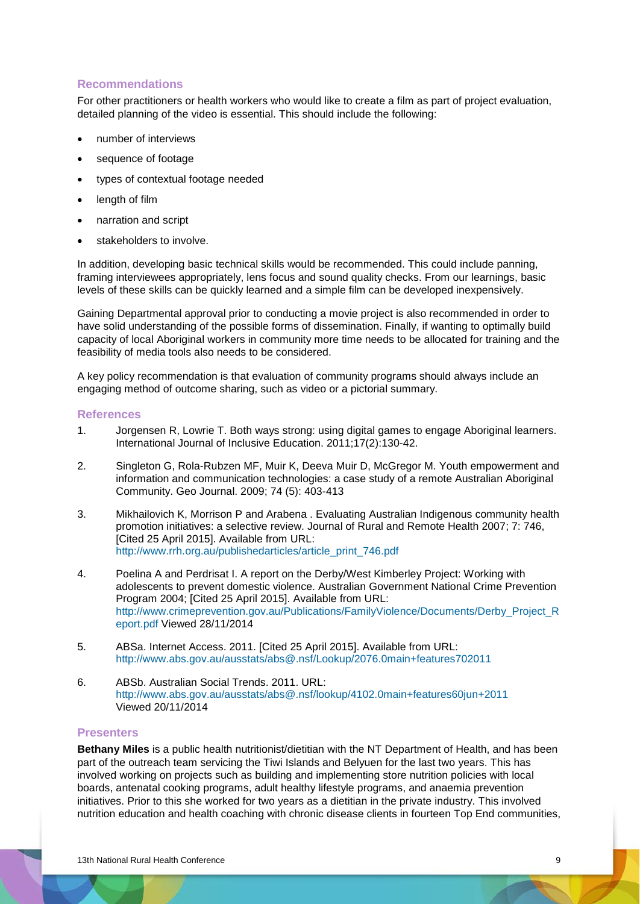# **Recommendations**

For other practitioners or health workers who would like to create a film as part of project evaluation, detailed planning of the video is essential. This should include the following:

- number of interviews
- sequence of footage
- types of contextual footage needed
- length of film
- narration and script
- stakeholders to involve.

In addition, developing basic technical skills would be recommended. This could include panning, framing interviewees appropriately, lens focus and sound quality checks. From our learnings, basic levels of these skills can be quickly learned and a simple film can be developed inexpensively.

Gaining Departmental approval prior to conducting a movie project is also recommended in order to have solid understanding of the possible forms of dissemination. Finally, if wanting to optimally build capacity of local Aboriginal workers in community more time needs to be allocated for training and the feasibility of media tools also needs to be considered.

A key policy recommendation is that evaluation of community programs should always include an engaging method of outcome sharing, such as video or a pictorial summary.

# **References**

- 1. Jorgensen R, Lowrie T. Both ways strong: using digital games to engage Aboriginal learners. International Journal of Inclusive Education. 2011;17(2):130-42.
- 2. Singleton G, Rola-Rubzen MF, Muir K, Deeva Muir D, McGregor M. Youth empowerment and information and communication technologies: a case study of a remote Australian Aboriginal Community. Geo Journal. 2009; 74 (5): 403-413
- 3. Mikhailovich K, Morrison P and Arabena . Evaluating Australian Indigenous community health promotion initiatives: a selective review. Journal of Rural and Remote Health 2007; 7: 746, [Cited 25 April 2015]. Available from URL: [http://www.rrh.org.au/publishedarticles/article\\_print\\_746.pdf](http://www.rrh.org.au/publishedarticles/article_print_746.pdf)
- 4. Poelina A and Perdrisat I. A report on the Derby/West Kimberley Project: Working with adolescents to prevent domestic violence. Australian Government National Crime Prevention Program 2004; [Cited 25 April 2015]. Available from URL: [http://www.crimeprevention.gov.au/Publications/FamilyViolence/Documents/Derby\\_Project\\_R](http://www.crimeprevention.gov.au/Publications/FamilyViolence/Documents/Derby_Project_Report.pdf) [eport.pdf](http://www.crimeprevention.gov.au/Publications/FamilyViolence/Documents/Derby_Project_Report.pdf) Viewed 28/11/2014
- 5. ABSa. Internet Access. 2011. [Cited 25 April 2015]. Available from URL: <http://www.abs.gov.au/ausstats/abs@.nsf/Lookup/2076.0main+features702011>
- 6. ABSb. Australian Social Trends. 2011. URL: <http://www.abs.gov.au/ausstats/abs@.nsf/lookup/4102.0main+features60jun+2011> Viewed 20/11/2014

# **Presenters**

**Bethany Miles** is a public health nutritionist/dietitian with the NT Department of Health, and has been part of the outreach team servicing the Tiwi Islands and Belyuen for the last two years. This has involved working on projects such as building and implementing store nutrition policies with local boards, antenatal cooking programs, adult healthy lifestyle programs, and anaemia prevention initiatives. Prior to this she worked for two years as a dietitian in the private industry. This involved nutrition education and health coaching with chronic disease clients in fourteen Top End communities,